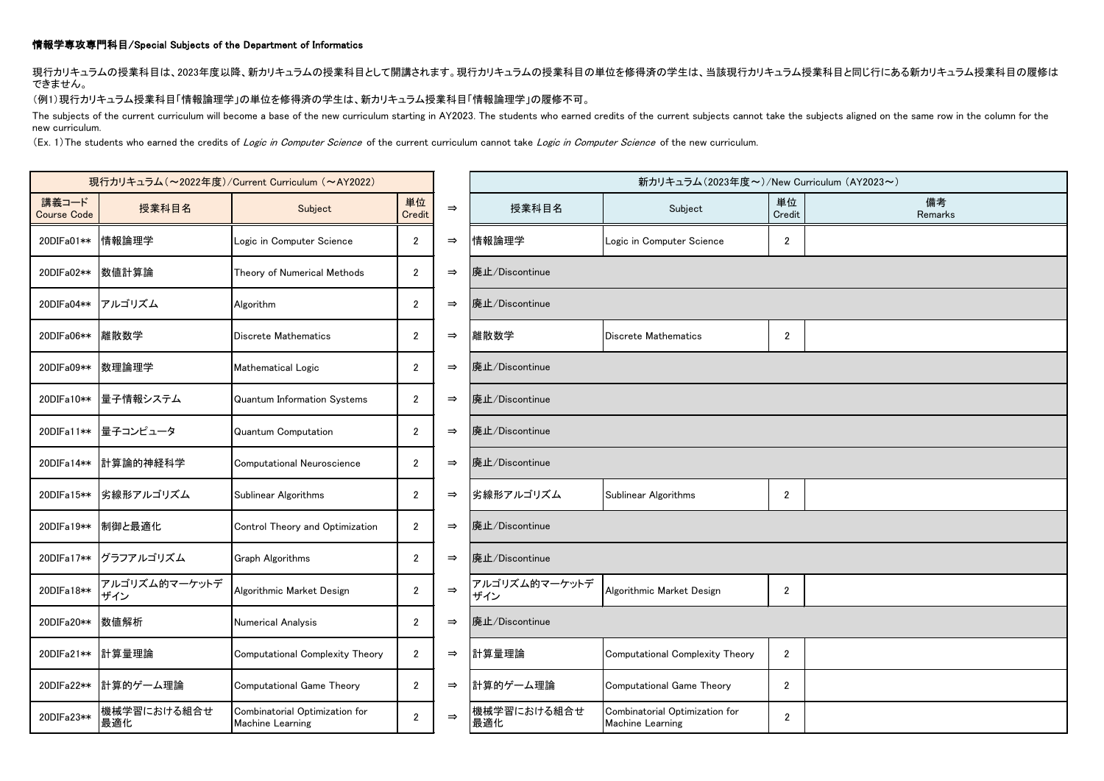## 情報学専攻専門科目/Special Subjects of the Department of Informatics

現行カリキュラムの授業科目は、2023年度以降、新カリキュラムの授業科目として開講されます。現行カリキュラムの授業科目の単位を修得済の学生は、当該現行カリキュラム授業科目と同じ行にある新カリキュラム授業科目の履修は できません。

(例1)現行カリキュラム授業科目「情報論理学」の単位を修得済の学生は、新カリキュラム授業科目「情報論理学」の履修不可。

The subjects of the current curriculum will become a base of the new curriculum starting in AY2023. The students who earned credits of the current subjects cannot take the subjects aligned on the same row in the column for new curriculum.

(Ex. 1) The students who earned the credits of Logic in Computer Science of the current curriculum cannot take Logic in Computer Science of the new curriculum.

| 現行カリキュラム (~2022年度)/Current Curriculum (~AY2022) |                      |                                                    |                |               | 新カリキュラム(2023年度~)/New Curriculum (AY2023~) |                                                    |                |               |  |  |
|-------------------------------------------------|----------------------|----------------------------------------------------|----------------|---------------|-------------------------------------------|----------------------------------------------------|----------------|---------------|--|--|
| 講義コード<br><b>Course Code</b>                     | 授業科目名                | Subject                                            | 単位<br>Credit   | $\Rightarrow$ | 授業科目名                                     | Subject                                            | 単位<br>Credit   | 備考<br>Remarks |  |  |
| 20DIFa01**                                      | 情報論理学                | Logic in Computer Science                          | $\mathbf{2}$   | $\Rightarrow$ | 情報論理学                                     | Logic in Computer Science                          | $\overline{2}$ |               |  |  |
| 20DIFa02**                                      | 数値計算論                | Theory of Numerical Methods                        | $\overline{2}$ | $\Rightarrow$ | 廃止/Discontinue                            |                                                    |                |               |  |  |
|                                                 | 20DIFa04** アルゴリズム    | Algorithm                                          | $\mathbf{2}$   | $\Rightarrow$ | 廃止/Discontinue                            |                                                    |                |               |  |  |
| 20DIFa06**                                      | 離散数学                 | Discrete Mathematics                               | $\overline{2}$ | $\Rightarrow$ | 離散数学                                      | Discrete Mathematics                               | $\mathbf{2}$   |               |  |  |
| 20DIFa09**                                      | 数理論理学                | Mathematical Logic                                 | $\mathbf{2}$   | $\Rightarrow$ | 廃止/Discontinue                            |                                                    |                |               |  |  |
| 20DIFa10**                                      | 量子情報システム             | Quantum Information Systems                        | $\mathbf{2}$   | $\Rightarrow$ | 廃止/Discontinue                            |                                                    |                |               |  |  |
| 20DIFa11**                                      | 量子コンピュータ             | Quantum Computation                                | $\mathbf{2}$   | $\Rightarrow$ | 廃止/Discontinue                            |                                                    |                |               |  |  |
| 20DIFa14**                                      | 計算論的神経科学             | Computational Neuroscience                         | $\mathbf{2}$   | $\Rightarrow$ | 廃止/Discontinue                            |                                                    |                |               |  |  |
| 20DIFa15**                                      | 劣線形アルゴリズム            | Sublinear Algorithms                               | $2^{\circ}$    | $\Rightarrow$ | 劣線形アルゴリズム                                 | Sublinear Algorithms                               | $\overline{2}$ |               |  |  |
|                                                 | 20DIFa19** 制御と最適化    | Control Theory and Optimization                    | $\mathbf{2}$   | $\Rightarrow$ | 廃止/Discontinue                            |                                                    |                |               |  |  |
| 20DIFa17**                                      | グラフアルゴリズム            | <b>Graph Algorithms</b>                            | $\overline{2}$ | $\Rightarrow$ | 廃止/Discontinue                            |                                                    |                |               |  |  |
| 20DIFa18**                                      | アルゴリズム的マーケットデ<br>ザイン | Algorithmic Market Design                          | $\mathbf{2}$   | $\Rightarrow$ | アルゴリズム的マーケットデ<br>ザイン                      | Algorithmic Market Design                          | $\mathbf{2}$   |               |  |  |
| 20DIFa20**                                      | 数値解析                 | Numerical Analysis                                 | $\mathbf{2}$   | $\Rightarrow$ | 廃止/Discontinue                            |                                                    |                |               |  |  |
| 20DIFa21**                                      | 計算量理論                | Computational Complexity Theory                    | $\overline{2}$ | $\Rightarrow$ | 計算量理論                                     | Computational Complexity Theory                    | $\mathbf{2}$   |               |  |  |
| 20DIFa22**                                      | 計算的ゲーム理論             | Computational Game Theory                          | $\mathbf{2}$   | $\Rightarrow$ | 計算的ゲーム理論                                  | Computational Game Theory                          | $\overline{2}$ |               |  |  |
| 20DIFa23**                                      | 機械学習における組合せ<br>最適化   | Combinatorial Optimization for<br>Machine Learning | $\overline{2}$ | $\Rightarrow$ | 機械学習における組合せ<br>最適化                        | Combinatorial Optimization for<br>Machine Learning | $\mathbf{2}$   |               |  |  |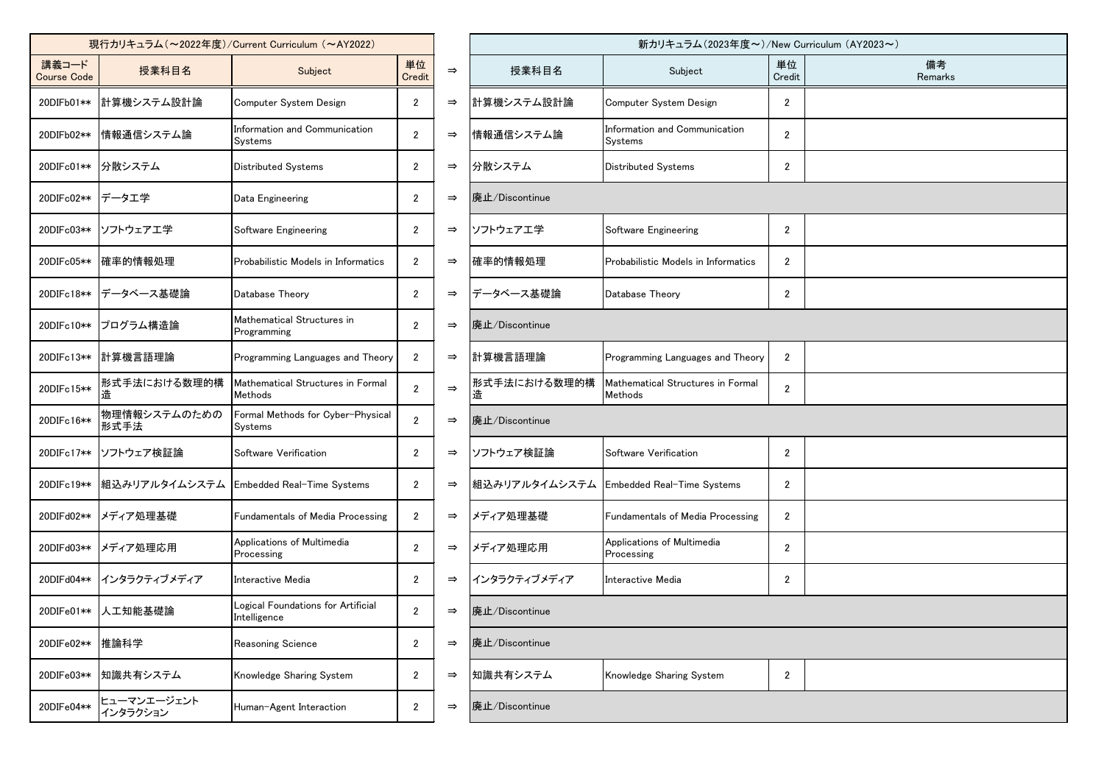|                             |                         | 現行カリキュラム (~2022年度)/Current Curriculum (~AY2022)    |                       | 新カリキュラム (2023年度~)/New              |                |                                              |                |  |  |
|-----------------------------|-------------------------|----------------------------------------------------|-----------------------|------------------------------------|----------------|----------------------------------------------|----------------|--|--|
| 講義コード<br><b>Course Code</b> | 授業科目名                   | Subject                                            |                       | $\Rightarrow$                      | 授業科目名          | Subject                                      | 単1<br>Cre      |  |  |
| 20DIFb01**                  | 計算機システム設計論              | Computer System Design                             | 2                     | $\Rightarrow$                      | 計算機システム設計論     | Computer System Design                       | 2              |  |  |
| 20DIFb02**                  | 情報通信システム論               | Information and Communication<br>Systems           | $\overline{2}$        | $\Rightarrow$                      | 情報通信システム論      | Information and Communication<br>Systems     | 2              |  |  |
| 20DIFc01**                  | 分散システム                  | <b>Distributed Systems</b>                         | $\mathbf{2}$          | $\Rightarrow$                      | 分散システム         | <b>Distributed Systems</b>                   | $\overline{2}$ |  |  |
| 20DIFc02**                  | データエ学                   | Data Engineering                                   | $\mathbf{2}$          | $\Rightarrow$                      | 廃止/Discontinue |                                              |                |  |  |
| 20DIFc03**                  | ソフトウェアエ学                | Software Engineering                               | $\mathbf{2}$          | $\Rightarrow$                      | ソフトウェアエ学       | Software Engineering                         | $\overline{2}$ |  |  |
| 20DIFc05**                  | 確率的情報処理                 | Probabilistic Models in Informatics                | $\mathbf{2}$          | $\Rightarrow$                      | 確率的情報処理        | Probabilistic Models in Informatics          | 2              |  |  |
| 20DIFc18**                  | データベース基礎論               | Database Theory                                    | $\mathbf{2}$          | データベース基礎論<br>$\Rightarrow$         |                | Database Theory                              | $\overline{2}$ |  |  |
| 20DIFc10**                  | プログラム構造論                | Mathematical Structures in<br>Programming          | $\overline{2}$        | $\Rightarrow$                      | 廃止/Discontinue |                                              |                |  |  |
| 20DIFc13**                  | 計算機言語理論                 | Programming Languages and Theory                   | $\mathbf{2}$          | $\Rightarrow$                      | 計算機言語理論        | Programming Languages and Theory             | 2              |  |  |
| 20DIFc15**                  | 形式手法における数理的構            | Mathematical Structures in Formal<br>Methods       | $\overline{2}$        | 形式手法における数理的構<br>$\Rightarrow$<br>造 |                | Mathematical Structures in Formal<br>Methods |                |  |  |
| 20DIFc16**                  | 物理情報システムのための<br>形式手法    | Formal Methods for Cyber-Physical<br>Systems       | $\mathbf{2}^{\prime}$ | $\Rightarrow$                      | 廃止/Discontinue |                                              |                |  |  |
| 20DIFc17**                  | ソフトウェア検証論               | Software Verification                              | $\overline{2}$        | $\Rightarrow$                      | ソフトウェア検証論      | Software Verification                        | $\overline{2}$ |  |  |
| 20DIFc19**                  | 組込みリアルタイムシステム           | Embedded Real-Time Systems                         | $\mathbf{2}^{\prime}$ | $\Rightarrow$                      | 組込みリアルタイムシステム  | Embedded Real-Time Systems                   | $\overline{2}$ |  |  |
| 20DIFd02**                  | メディア処理基礎                | Fundamentals of Media Processing                   | $\mathbf{2}$          | $\Rightarrow$                      | メディア処理基礎       | Fundamentals of Media Processing             | $\overline{2}$ |  |  |
| 20DIFd03**                  | メディア処理応用                | Applications of Multimedia<br>Processing           | $\mathbf{2}$          | $\Rightarrow$                      | メディア処理応用       | Applications of Multimedia<br>Processing     | $\overline{2}$ |  |  |
| 20DIFd04**                  | インタラクティブメディア            | Interactive Media                                  | $\mathbf{2}$          | $\Rightarrow$                      | インタラクティブメディア   | Interactive Media                            | 2              |  |  |
| 20DIFe01**                  | 人工知能基礎論                 | Logical Foundations for Artificial<br>Intelligence | $\overline{2}$        | $\Rightarrow$                      | 廃止/Discontinue |                                              |                |  |  |
| 20DIFe02**                  | 推論科学                    | Reasoning Science                                  | $\mathbf{2}$          | $\Rightarrow$                      | 廃止/Discontinue |                                              |                |  |  |
| 20DIFe03**                  | 知識共有システム                | Knowledge Sharing System                           | $\overline{2}$        | 知識共有システム<br>$\Rightarrow$          |                | Knowledge Sharing System                     | $\overline{2}$ |  |  |
| 20DIFe04**                  | ヒューマンエージェント<br>インタラクション | Human-Agent Interaction                            | $\mathbf{2}$          | $\Rightarrow$                      | 廃止/Discontinue |                                              |                |  |  |

| 現行カリキュラム(~2022年度)/Current Curriculum (~AY2022) |                         |                                                    |                |               | 新カリキュラム(2023年度~)/New Curriculum (AY2023~) |                                              |                |               |  |  |
|------------------------------------------------|-------------------------|----------------------------------------------------|----------------|---------------|-------------------------------------------|----------------------------------------------|----------------|---------------|--|--|
|                                                | 授業科目名                   | Subject                                            | 単位<br>Credit   | $\Rightarrow$ | 授業科目名                                     | Subject                                      | 単位<br>Credit   | 備考<br>Remarks |  |  |
|                                                | 計算機システム設計論              | Computer System Design                             | $\overline{2}$ | $\Rightarrow$ | 計算機システム設計論                                | Computer System Design                       | $\mathbf{2}$   |               |  |  |
|                                                | 情報通信システム論               | Information and Communication<br>Systems           | $\overline{2}$ | $\Rightarrow$ | 情報通信システム論                                 | Information and Communication<br>Systems     | $\overline{2}$ |               |  |  |
|                                                | 分散システム                  | Distributed Systems                                | $\mathbf{2}$   | $\Rightarrow$ | 分散システム                                    | <b>Distributed Systems</b>                   | $\mathbf{2}$   |               |  |  |
|                                                | データエ学                   | Data Engineering                                   | $\overline{2}$ | $\Rightarrow$ | 廃止/Discontinue                            |                                              |                |               |  |  |
|                                                | ソフトウェアエ学                | Software Engineering                               | $\overline{2}$ | $\Rightarrow$ | ソフトウェアエ学                                  | Software Engineering                         | $\overline{2}$ |               |  |  |
|                                                | 確率的情報処理                 | Probabilistic Models in Informatics                | $\overline{2}$ | $\Rightarrow$ | 確率的情報処理                                   | Probabilistic Models in Informatics          | $\overline{2}$ |               |  |  |
|                                                | データベース基礎論               | Database Theory                                    | $\overline{2}$ | $\Rightarrow$ | データベース基礎論                                 | Database Theory                              | $\overline{2}$ |               |  |  |
|                                                | プログラム構造論                | Mathematical Structures in<br>Programming          | $\overline{2}$ | $\Rightarrow$ | 廃止/Discontinue                            |                                              |                |               |  |  |
|                                                | 計算機言語理論                 | Programming Languages and Theory                   | $\overline{2}$ | $\Rightarrow$ | 計算機言語理論                                   | Programming Languages and Theory             | $\overline{2}$ |               |  |  |
|                                                | 形式手法における数理的構<br>造       | Mathematical Structures in Formal<br>Methods       | $\overline{2}$ | $\Rightarrow$ | 形式手法における数理的構                              | Mathematical Structures in Formal<br>Methods | $\overline{2}$ |               |  |  |
|                                                | 物理情報システムのための<br>形式手法    | Formal Methods for Cyber-Physical<br>Systems       | $\overline{2}$ | $\Rightarrow$ | 廃止/Discontinue                            |                                              |                |               |  |  |
|                                                | ソフトウェア検証論               | Software Verification                              | $\overline{2}$ | $\Rightarrow$ | ソフトウェア検証論                                 | Software Verification                        | $\overline{2}$ |               |  |  |
|                                                | 組込みリアルタイムシステム           | Embedded Real-Time Systems                         | $\overline{2}$ | $\Rightarrow$ |                                           | 組込みリアルタイムシステム   Embedded Real-Time Systems   | $\overline{2}$ |               |  |  |
|                                                | メディア処理基礎                | Fundamentals of Media Processing                   | $\overline{2}$ | $\Rightarrow$ | メディア処理基礎                                  | Fundamentals of Media Processing             | $\overline{2}$ |               |  |  |
|                                                | ◦ ┃メディア処理応用             | Applications of Multimedia<br>Processing           | $\overline{2}$ | $\Rightarrow$ | メディア処理応用                                  | Applications of Multimedia<br>Processing     | $\overline{2}$ |               |  |  |
|                                                | インタラクティブメディア            | Interactive Media                                  | $\overline{2}$ | $\Rightarrow$ | インタラクティブメディア                              | Interactive Media                            | $\mathbf{2}$   |               |  |  |
|                                                | 人工知能基礎論                 | Logical Foundations for Artificial<br>Intelligence | $\overline{2}$ | $\Rightarrow$ | 廃止/Discontinue                            |                                              |                |               |  |  |
|                                                | 推論科学                    | Reasoning Science                                  | $\overline{2}$ | $\Rightarrow$ | 廃止/Discontinue                            |                                              |                |               |  |  |
|                                                | 知識共有システム                | Knowledge Sharing System                           | $\mathbf{2}$   | $\Rightarrow$ | 知識共有システム                                  | Knowledge Sharing System                     | $\mathbf{2}$   |               |  |  |
|                                                | ヒューマンエージェント<br>インタラクション | Human-Agent Interaction                            | $\overline{2}$ | $\Rightarrow$ | 廃止/Discontinue                            |                                              |                |               |  |  |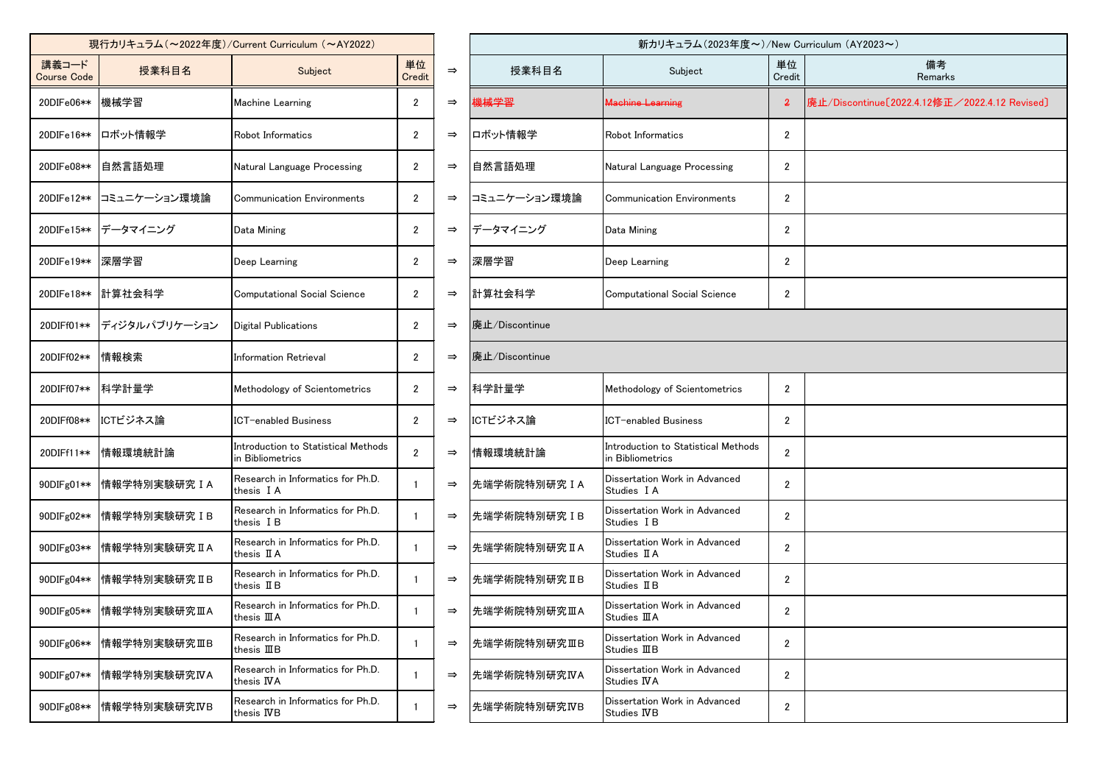|                                      |               | 現行カリキュラム (~2022年度)/Current Curriculum (~AY2022)         |                       | 新カリキュラム(2023年度~)/New |                |                                                         |                |  |
|--------------------------------------|---------------|---------------------------------------------------------|-----------------------|----------------------|----------------|---------------------------------------------------------|----------------|--|
| 講義コード<br>授業科目名<br><b>Course Code</b> |               | Subject                                                 | 単位<br>Credit          | $\Rightarrow$        | 授業科目名          | Subject                                                 | 単1<br>Cre      |  |
| 20DIFe06**                           | 機械学習          | <b>Machine Learning</b>                                 | 2                     | $\Rightarrow$        | 機械学習           | <b>Machine Learning</b>                                 | 2              |  |
| 20DIFe16**                           | ロボット情報学       | Robot Informatics                                       | $\mathbf{2}^{\prime}$ | $\Rightarrow$        | ロボット情報学        | Robot Informatics                                       | 2              |  |
| 20DIFe08**                           | 自然言語処理        | Natural Language Processing                             | $\mathbf{2}$          | $\Rightarrow$        | 自然言語処理         | Natural Language Processing                             | 2              |  |
| 20DIFe12**                           | コミュニケーション環境論  | <b>Communication Environments</b>                       | $\mathbf{2}$          | $\Rightarrow$        | コミュニケーション環境論   | <b>Communication Environments</b>                       | 2              |  |
| 20DIFe15**                           | データマイニング      | Data Mining                                             | $\mathbf{2}^{\circ}$  | $\Rightarrow$        | データマイニング       | Data Mining                                             | 2              |  |
| 20DIFe19**                           | 深層学習          | Deep Learning                                           | $\mathbf{2}$          | $\Rightarrow$        | 深層学習           | Deep Learning                                           | 2              |  |
| 20DIFe18**                           | 計算社会科学        | <b>Computational Social Science</b>                     | $\mathbf{2}$          | $\Rightarrow$        | 計算社会科学         | <b>Computational Social Science</b>                     | $\overline{2}$ |  |
| 20DIFf01**                           | ディジタルパブリケーション | <b>Digital Publications</b>                             | $\mathbf{2}$          | $\Rightarrow$        | 廃止/Discontinue |                                                         |                |  |
| 20DIFf02**                           | 情報検索          | <b>Information Retrieval</b>                            | $\mathbf{2}$          | $\Rightarrow$        | 廃止/Discontinue |                                                         |                |  |
| 20DIFf07**                           | 科学計量学         | Methodology of Scientometrics                           | $\mathbf{2}$          | $\Rightarrow$        | 科学計量学          | Methodology of Scientometrics                           | 2              |  |
| 20DIFf08**                           | ICTビジネス論      | <b>ICT-enabled Business</b>                             | $\mathbf{2}$          | $\Rightarrow$        | ICTビジネス論       | <b>ICT-enabled Business</b>                             | $\overline{2}$ |  |
| 20DIFf11**                           | 情報環境統計論       | Introduction to Statistical Methods<br>in Bibliometrics | $\overline{2}$        | $\Rightarrow$        | 情報環境統計論        | Introduction to Statistical Methods<br>in Bibliometrics | $\overline{2}$ |  |
| 90DIFg01**                           | 情報学特別実験研究IA   | Research in Informatics for Ph.D.<br>thesis IA          | $\mathbf{1}$          | $\Rightarrow$        | 先端学術院特別研究IA    | Dissertation Work in Advanced<br>Studies I A            | $\overline{2}$ |  |
| 90DIFg02**                           | 情報学特別実験研究IB   | Research in Informatics for Ph.D.<br>thesis IB          | $\mathbf{1}$          | $\Rightarrow$        | 先端学術院特別研究IB    | Dissertation Work in Advanced<br>Studies I B            | 2              |  |
| 90DIFg03**                           | 情報学特別実験研究IA   | Research in Informatics for Ph.D.<br>thesis II A        | $\mathbf{1}$          | $\Rightarrow$        | 先端学術院特別研究IA    | Dissertation Work in Advanced<br>Studies II A           | $\overline{2}$ |  |
| 90DIFg04**                           | 情報学特別実験研究IIB  | Research in Informatics for Ph.D.<br>thesis $I\!I B$    |                       | $\Rightarrow$        | 先端学術院特別研究 IIB  | Dissertation Work in Advanced<br>Studies II B           | $\overline{2}$ |  |
| 90DIFg05**                           | 情報学特別実験研究ⅢA   | Research in Informatics for Ph.D.<br>thesis III A       | 1                     | $\Rightarrow$        | 先端学術院特別研究ⅢA    | Dissertation Work in Advanced<br>Studies III A          | $\overline{2}$ |  |
| 90DIFg06**                           | 情報学特別実験研究ⅢB   | Research in Informatics for Ph.D.<br>thesis $I\!I\!I B$ | 1                     | $\Rightarrow$        | 先端学術院特別研究ⅢB    | Dissertation Work in Advanced<br>Studies IIB            | $\overline{2}$ |  |
| 90DIFg07**                           | 情報学特別実験研究IVA  | Research in Informatics for Ph.D.<br>thesis IVA         | $\mathbf{1}$          | $\Rightarrow$        | 先端学術院特別研究IVA   | Dissertation Work in Advanced<br>Studies IVA            | $\overline{2}$ |  |
| 90DIFg08**                           | 情報学特別実験研究IVB  | Research in Informatics for Ph.D.<br>thesis IVB         | 1                     | $\Rightarrow$        | 先端学術院特別研究IVB   | Dissertation Work in Advanced<br>Studies IVB            | $\overline{2}$ |  |
|                                      |               |                                                         |                       |                      |                |                                                         |                |  |

| 現行カリキュラム (~2022年度)/Current Curriculum (~AY2022) |                            |                                                         |                |               | 新カリキュラム (2023年度~)/New Curriculum (AY2023~) |                                                         |                |                                               |  |  |
|-------------------------------------------------|----------------------------|---------------------------------------------------------|----------------|---------------|--------------------------------------------|---------------------------------------------------------|----------------|-----------------------------------------------|--|--|
| 講義コード<br>Course Code                            | 授業科目名                      | Subject                                                 | 単位<br>Credit   | $\Rightarrow$ | 授業科目名                                      | Subject                                                 | 単位<br>Credit   | 備考<br>Remarks                                 |  |  |
| 20DIFe06**                                      | 機械学習                       | Machine Learning                                        | $\overline{2}$ | $\Rightarrow$ | <del>機械学習</del>                            | <del>Machine Learning</del>                             | $\overline{2}$ | 廃止/Discontinue[2022.4.12修正/2022.4.12 Revised] |  |  |
|                                                 | 20DIFe16** ロボット情報学         | Robot Informatics                                       | $\overline{2}$ | $\Rightarrow$ | ロボット情報学                                    | Robot Informatics                                       | $\mathbf{2}$   |                                               |  |  |
| 20DIFe08**                                      | 自然言語処理                     | Natural Language Processing                             | $\overline{2}$ | $\Rightarrow$ | 自然言語処理                                     | Natural Language Processing                             | $\overline{2}$ |                                               |  |  |
| 20DIFe12**                                      | コミュニケーション環境論               | <b>Communication Environments</b>                       | $\overline{2}$ | $\Rightarrow$ | コミュニケーション環境論                               | <b>Communication Environments</b>                       | $\overline{2}$ |                                               |  |  |
| 20DIFe15**                                      | データマイニング                   | Data Mining                                             | $\overline{2}$ | $\Rightarrow$ | データマイニング                                   | Data Mining                                             | $\mathbf{2}$   |                                               |  |  |
| 20DIFe19**  深層学習                                |                            | Deep Learning                                           | $\overline{2}$ | $\Rightarrow$ | 深層学習                                       | Deep Learning                                           | $\overline{2}$ |                                               |  |  |
|                                                 | 20DIFe18** 計算社会科学          | <b>Computational Social Science</b>                     | $\overline{2}$ | $\Rightarrow$ | 計算社会科学                                     | <b>Computational Social Science</b>                     | $\mathbf{2}$   |                                               |  |  |
| 20DIFf01**                                      | ディジタルパブリケーション              | Digital Publications                                    | $\overline{2}$ | $\Rightarrow$ | 廃止/Discontinue                             |                                                         |                |                                               |  |  |
| 20DIFf02**                                      | 情報検索                       | <b>Information Retrieval</b>                            | $\overline{2}$ | $\Rightarrow$ | 廃止/Discontinue                             |                                                         |                |                                               |  |  |
| 20DIFf07**                                      | 科学計量学                      | Methodology of Scientometrics                           | $\overline{2}$ | $\Rightarrow$ | 科学計量学                                      | Methodology of Scientometrics                           | $\overline{2}$ |                                               |  |  |
| 20DIFf08**                                      | ICTビジネス論                   | <b>ICT-enabled Business</b>                             | $\overline{2}$ | $\Rightarrow$ | ICTビジネス論                                   | lCT−enabled Business                                    | $\overline{2}$ |                                               |  |  |
| 20DIFf11**                                      | 情報環境統計論                    | Introduction to Statistical Methods<br>in Bibliometrics | $\overline{2}$ | $\Rightarrow$ | 情報環境統計論                                    | Introduction to Statistical Methods<br>in Bibliometrics | $\overline{2}$ |                                               |  |  |
|                                                 | 90DIFg01** 情報学特別実験研究 I A   | Research in Informatics for Ph.D.<br>thesis IA          |                | $\Rightarrow$ | 先端学術院特別研究IA                                | Dissertation Work in Advanced<br>Studies I A            | $\overline{2}$ |                                               |  |  |
| 90DIFg02**                                      | 情報学特別実験研究IB                | Research in Informatics for Ph.D.<br>thesis IB          |                | $\Rightarrow$ | 先端学術院特別研究IB                                | Dissertation Work in Advanced<br>Studies I B            | $\overline{2}$ |                                               |  |  |
|                                                 | 90DIFg03**  情報学特別実験研究 II A | Research in Informatics for Ph.D.<br>thesis II A        |                | $\Rightarrow$ | 先端学術院特別研究IA                                | Dissertation Work in Advanced<br>Studies II A           | $\overline{2}$ |                                               |  |  |
| 90DIFg04**                                      | │情報学特別実験研究ⅡB               | Research in Informatics for Ph.D.<br>thesis IIB         |                | $\Rightarrow$ | 先端学術院特別研究IB                                | Dissertation Work in Advanced<br>Studies II B           | $\overline{2}$ |                                               |  |  |
| 90DIFg05**                                      | 情報学特別実験研究ⅢA                | Research in Informatics for Ph.D.<br>thesis III A       |                | $\Rightarrow$ | 先端学術院特別研究ⅢA                                | Dissertation Work in Advanced<br>Studies III A          | $\overline{2}$ |                                               |  |  |
| 90DIFg06**                                      | 情報学特別実験研究ⅢB                | Research in Informatics for Ph.D.<br>thesis IIIB        |                | $\Rightarrow$ | 先端学術院特別研究ⅢB                                | Dissertation Work in Advanced<br>Studies IIIB           | $\mathbf{2}$   |                                               |  |  |
| 90DIFg07**                                      | 情報学特別実験研究IVA               | Research in Informatics for Ph.D.<br>thesis IVA         |                | $\Rightarrow$ | 先端学術院特別研究IVA                               | Dissertation Work in Advanced<br>Studies IVA            | $\mathbf{2}$   |                                               |  |  |
| 90DIFg08**                                      | 情報学特別実験研究IVB               | Research in Informatics for Ph.D.<br>thesis IVB         |                | $\Rightarrow$ | 先端学術院特別研究IVB                               | Dissertation Work in Advanced<br>Studies IVB            | $\overline{2}$ |                                               |  |  |
|                                                 |                            |                                                         |                |               |                                            |                                                         |                |                                               |  |  |